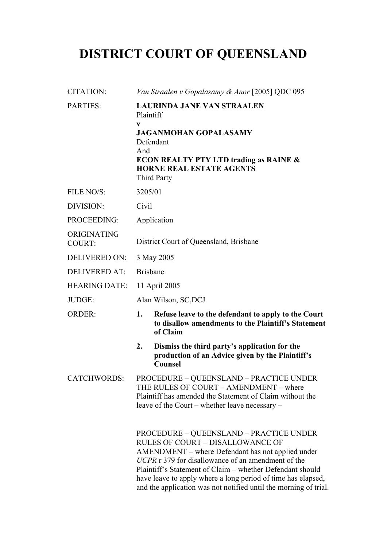# **DISTRICT COURT OF QUEENSLAND**

| <b>CITATION:</b>             | Van Straalen v Gopalasamy & Anor [2005] QDC 095                                                                                                                                                                                                                                                                                                                                                       |  |
|------------------------------|-------------------------------------------------------------------------------------------------------------------------------------------------------------------------------------------------------------------------------------------------------------------------------------------------------------------------------------------------------------------------------------------------------|--|
| <b>PARTIES:</b>              | <b>LAURINDA JANE VAN STRAALEN</b><br>Plaintiff<br>V<br><b>JAGANMOHAN GOPALASAMY</b><br>Defendant<br>And<br><b>ECON REALTY PTY LTD trading as RAINE &amp;</b><br><b>HORNE REAL ESTATE AGENTS</b><br>Third Party                                                                                                                                                                                        |  |
| FILE NO/S:                   | 3205/01                                                                                                                                                                                                                                                                                                                                                                                               |  |
| DIVISION:                    | Civil                                                                                                                                                                                                                                                                                                                                                                                                 |  |
| PROCEEDING:                  | Application                                                                                                                                                                                                                                                                                                                                                                                           |  |
| ORIGINATING<br><b>COURT:</b> | District Court of Queensland, Brisbane                                                                                                                                                                                                                                                                                                                                                                |  |
| <b>DELIVERED ON:</b>         | 3 May 2005                                                                                                                                                                                                                                                                                                                                                                                            |  |
| <b>DELIVERED AT:</b>         | <b>Brisbane</b>                                                                                                                                                                                                                                                                                                                                                                                       |  |
| <b>HEARING DATE:</b>         | 11 April 2005                                                                                                                                                                                                                                                                                                                                                                                         |  |
| JUDGE:                       | Alan Wilson, SC, DCJ                                                                                                                                                                                                                                                                                                                                                                                  |  |
| <b>ORDER:</b>                | 1.<br>Refuse leave to the defendant to apply to the Court<br>to disallow amendments to the Plaintiff's Statement<br>of Claim                                                                                                                                                                                                                                                                          |  |
|                              | 2.<br>Dismiss the third party's application for the<br>production of an Advice given by the Plaintiff's<br><b>Counsel</b>                                                                                                                                                                                                                                                                             |  |
| <b>CATCHWORDS:</b>           | PROCEDURE - QUEENSLAND - PRACTICE UNDER<br>THE RULES OF COURT - AMENDMENT - where<br>Plaintiff has amended the Statement of Claim without the<br>leave of the Court – whether leave necessary –                                                                                                                                                                                                       |  |
|                              | <b>PROCEDURE – QUEENSLAND – PRACTICE UNDER</b><br><b>RULES OF COURT - DISALLOWANCE OF</b><br>AMENDMENT – where Defendant has not applied under<br>UCPR r 379 for disallowance of an amendment of the<br>Plaintiff's Statement of Claim – whether Defendant should<br>have leave to apply where a long period of time has elapsed,<br>and the application was not notified until the morning of trial. |  |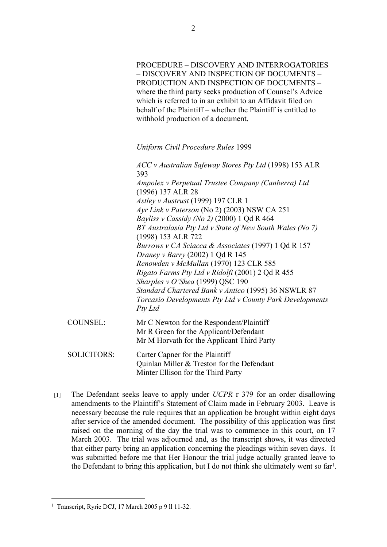PROCEDURE – DISCOVERY AND INTERROGATORIES – DISCOVERY AND INSPECTION OF DOCUMENTS – PRODUCTION AND INSPECTION OF DOCUMENTS – where the third party seeks production of Counsel's Advice which is referred to in an exhibit to an Affidavit filed on behalf of the Plaintiff – whether the Plaintiff is entitled to withhold production of a document.

*Uniform Civil Procedure Rules* 1999

*ACC v Australian Safeway Stores Pty Ltd* (1998) 153 ALR 393 *Ampolex v Perpetual Trustee Company (Canberra) Ltd* (1996) 137 ALR 28 *Astley v Austrust* (1999) 197 CLR 1 *Ayr Link v Paterson* (No 2) (2003) NSW CA 251 *Bayliss v Cassidy (No 2)* (2000) 1 Qd R 464 *BT Australasia Pty Ltd v State of New South Wales (No 7)* (1998) 153 ALR 722 *Burrows v CA Sciacca & Associates* (1997) 1 Qd R 157 *Draney v Barry* (2002) 1 Qd R 145 *Renowden v McMullan* (1970) 123 CLR 585 *Rigato Farms Pty Ltd v Ridolfi* (2001) 2 Qd R 455 *Sharples v O'Shea* (1999) QSC 190 *Standard Chartered Bank v Antico* (1995) 36 NSWLR 87 *Torcasio Developments Pty Ltd v County Park Developments Pty Ltd*

| COUNSEL:           | Mr C Newton for the Respondent/Plaintiff<br>Mr R Green for the Applicant/Defendant<br>Mr M Horvath for the Applicant Third Party |
|--------------------|----------------------------------------------------------------------------------------------------------------------------------|
| <b>SOLICITORS:</b> | Carter Capner for the Plaintiff<br>Quinlan Miller & Treston for the Defendant                                                    |

[1] The Defendant seeks leave to apply under *UCPR* r 379 for an order disallowing amendments to the Plaintiff's Statement of Claim made in February 2003. Leave is necessary because the rule requires that an application be brought within eight days after service of the amended document. The possibility of this application was first raised on the morning of the day the trial was to commence in this court, on 17 March 2003. The trial was adjourned and, as the transcript shows, it was directed that either party bring an application concerning the pleadings within seven days. It was submitted before me that Her Honour the trial judge actually granted leave to the Defendant to bring this application, but I do not think she ultimately went so  $far<sup>1</sup>$ .

Minter Ellison for the Third Party

<sup>1</sup> Transcript, Ryrie DCJ, 17 March 2005 p 9 ll 11-32.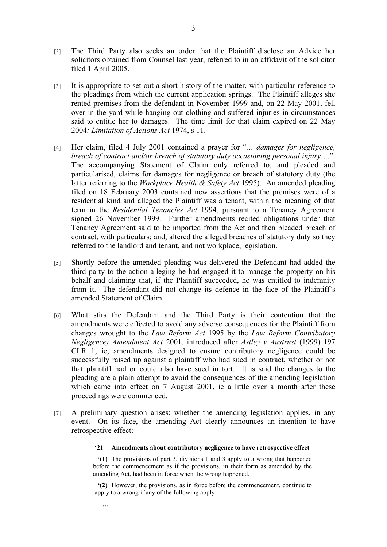- [2] The Third Party also seeks an order that the Plaintiff disclose an Advice her solicitors obtained from Counsel last year, referred to in an affidavit of the solicitor filed 1 April 2005.
- [3] It is appropriate to set out a short history of the matter, with particular reference to the pleadings from which the current application springs. The Plaintiff alleges she rented premises from the defendant in November 1999 and, on 22 May 2001, fell over in the yard while hanging out clothing and suffered injuries in circumstances said to entitle her to damages. The time limit for that claim expired on 22 May 2004*: Limitation of Actions Act* 1974, s 11.
- [4] Her claim, filed 4 July 2001 contained a prayer for "*… damages for negligence, breach of contract and/or breach of statutory duty occasioning personal injury …*". The accompanying Statement of Claim only referred to, and pleaded and particularised, claims for damages for negligence or breach of statutory duty (the latter referring to the *Workplace Health & Safety Act* 1995). An amended pleading filed on 18 February 2003 contained new assertions that the premises were of a residential kind and alleged the Plaintiff was a tenant, within the meaning of that term in the *Residential Tenancies Act* 1994, pursuant to a Tenancy Agreement signed 26 November 1999. Further amendments recited obligations under that Tenancy Agreement said to be imported from the Act and then pleaded breach of contract, with particulars; and, altered the alleged breaches of statutory duty so they referred to the landlord and tenant, and not workplace, legislation.
- [5] Shortly before the amended pleading was delivered the Defendant had added the third party to the action alleging he had engaged it to manage the property on his behalf and claiming that, if the Plaintiff succeeded, he was entitled to indemnity from it. The defendant did not change its defence in the face of the Plaintiff's amended Statement of Claim.
- [6] What stirs the Defendant and the Third Party is their contention that the amendments were effected to avoid any adverse consequences for the Plaintiff from changes wrought to the *Law Reform Act* 1995 by the *Law Reform Contributory Negligence) Amendment Act* 2001, introduced after *Astley v Austrust* (1999) 197 CLR 1; ie, amendments designed to ensure contributory negligence could be successfully raised up against a plaintiff who had sued in contract, whether or not that plaintiff had or could also have sued in tort. It is said the changes to the pleading are a plain attempt to avoid the consequences of the amending legislation which came into effect on 7 August 2001, ie a little over a month after these proceedings were commenced.
- [7] A preliminary question arises: whether the amending legislation applies, in any event. On its face, the amending Act clearly announces an intention to have retrospective effect:

## **'21 Amendments about contributory negligence to have retrospective effect**

**'(1)** The provisions of part 3, divisions 1 and 3 apply to a wrong that happened before the commencement as if the provisions, in their form as amended by the amending Act, had been in force when the wrong happened.

**'(2)** However, the provisions, as in force before the commencement, continue to apply to a wrong if any of the following apply—

…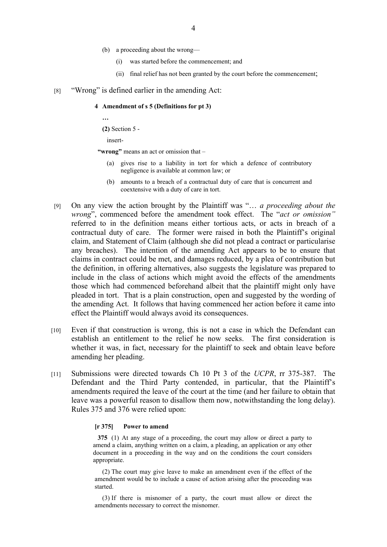- (b) a proceeding about the wrong—
	- (i) was started before the commencement; and
	- (ii) final relief has not been granted by the court before the commencement;
- [8] "Wrong" is defined earlier in the amending Act:

## **4 Amendment of s 5 (Definitions for pt 3)**

**…**

**(2)** Section 5 -

insert-

**"wrong"** means an act or omission that –

- (a) gives rise to a liability in tort for which a defence of contributory negligence is available at common law; or
- (b) amounts to a breach of a contractual duty of care that is concurrent and coextensive with a duty of care in tort.
- [9] On any view the action brought by the Plaintiff was "… *a proceeding about the wrong*", commenced before the amendment took effect. The "*act or omission"*  referred to in the definition means either tortious acts, or acts in breach of a contractual duty of care. The former were raised in both the Plaintiff's original claim, and Statement of Claim (although she did not plead a contract or particularise any breaches). The intention of the amending Act appears to be to ensure that claims in contract could be met, and damages reduced, by a plea of contribution but the definition, in offering alternatives, also suggests the legislature was prepared to include in the class of actions which might avoid the effects of the amendments those which had commenced beforehand albeit that the plaintiff might only have pleaded in tort. That is a plain construction, open and suggested by the wording of the amending Act. It follows that having commenced her action before it came into effect the Plaintiff would always avoid its consequences.
- [10] Even if that construction is wrong, this is not a case in which the Defendant can establish an entitlement to the relief he now seeks. The first consideration is whether it was, in fact, necessary for the plaintiff to seek and obtain leave before amending her pleading.
- [11] Submissions were directed towards Ch 10 Pt 3 of the *UCPR*, rr 375-387. The Defendant and the Third Party contended, in particular, that the Plaintiff's amendments required the leave of the court at the time (and her failure to obtain that leave was a powerful reason to disallow them now, notwithstanding the long delay). Rules 375 and 376 were relied upon:

#### **[r 375] Power to amend**

**375** (1) At any stage of a proceeding, the court may allow or direct a party to amend a claim, anything written on a claim, a pleading, an application or any other document in a proceeding in the way and on the conditions the court considers appropriate.

(2) The court may give leave to make an amendment even if the effect of the amendment would be to include a cause of action arising after the proceeding was started.

(3) If there is misnomer of a party, the court must allow or direct the amendments necessary to correct the misnomer.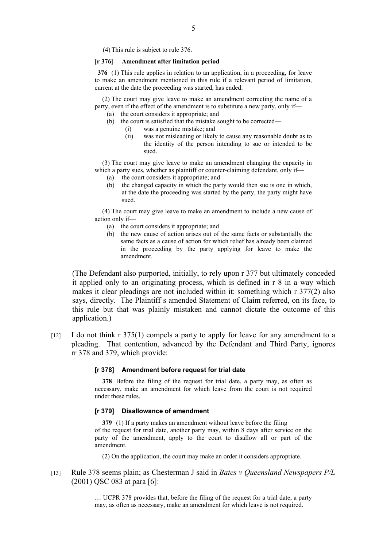(4) This rule is subject to rule 376.

#### **[r 376] Amendment after limitation period**

**376** (1) This rule applies in relation to an application, in a proceeding, for leave to make an amendment mentioned in this rule if a relevant period of limitation, current at the date the proceeding was started, has ended.

(2) The court may give leave to make an amendment correcting the name of a party, even if the effect of the amendment is to substitute a new party, only if—

- (a) the court considers it appropriate; and
- (b) the court is satisfied that the mistake sought to be corrected—
	- (i) was a genuine mistake; and
		- (ii) was not misleading or likely to cause any reasonable doubt as to the identity of the person intending to sue or intended to be sued.

(3) The court may give leave to make an amendment changing the capacity in which a party sues, whether as plaintiff or counter-claiming defendant, only if—

- (a) the court considers it appropriate; and
- (b) the changed capacity in which the party would then sue is one in which, at the date the proceeding was started by the party, the party might have sued.

(4) The court may give leave to make an amendment to include a new cause of action only if—

- (a) the court considers it appropriate; and
- (b) the new cause of action arises out of the same facts or substantially the same facts as a cause of action for which relief has already been claimed in the proceeding by the party applying for leave to make the amendment.

(The Defendant also purported, initially, to rely upon r 377 but ultimately conceded it applied only to an originating process, which is defined in r 8 in a way which makes it clear pleadings are not included within it: something which r 377(2) also says, directly. The Plaintiff's amended Statement of Claim referred, on its face, to this rule but that was plainly mistaken and cannot dictate the outcome of this application.)

[12] I do not think r 375(1) compels a party to apply for leave for any amendment to a pleading. That contention, advanced by the Defendant and Third Party, ignores rr 378 and 379, which provide:

#### **[r 378] Amendment before request for trial date**

**378** Before the filing of the request for trial date, a party may, as often as necessary, make an amendment for which leave from the court is not required under these rules.

#### **[r 379] Disallowance of amendment**

**379** (1) If a party makes an amendment without leave before the filing of the request for trial date, another party may, within 8 days after service on the party of the amendment, apply to the court to disallow all or part of the amendment.

(2) On the application, the court may make an order it considers appropriate.

[13] Rule 378 seems plain; as Chesterman J said in *Bates v Queensland Newspapers P/L* (2001) QSC 083 at para [6]:

> … UCPR 378 provides that, before the filing of the request for a trial date, a party may, as often as necessary, make an amendment for which leave is not required.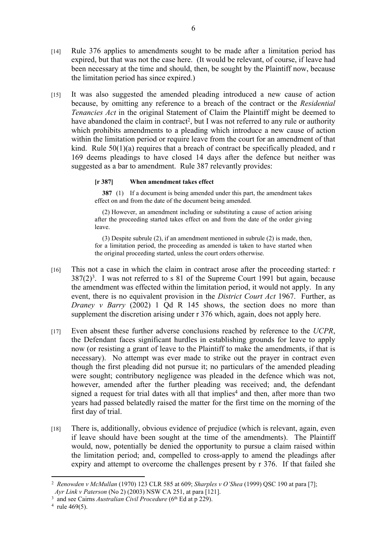- [14] Rule 376 applies to amendments sought to be made after a limitation period has expired, but that was not the case here. (It would be relevant, of course, if leave had been necessary at the time and should, then, be sought by the Plaintiff now, because the limitation period has since expired.)
- [15] It was also suggested the amended pleading introduced a new cause of action because, by omitting any reference to a breach of the contract or the *Residential Tenancies Act* in the original Statement of Claim the Plaintiff might be deemed to have abandoned the claim in contract<sup>2</sup>, but I was not referred to any rule or authority which prohibits amendments to a pleading which introduce a new cause of action within the limitation period or require leave from the court for an amendment of that kind. Rule  $50(1)(a)$  requires that a breach of contract be specifically pleaded, and r 169 deems pleadings to have closed 14 days after the defence but neither was suggested as a bar to amendment. Rule 387 relevantly provides:

# **[r 387] When amendment takes effect**

**387** (1) If a document is being amended under this part, the amendment takes effect on and from the date of the document being amended.

(2) However, an amendment including or substituting a cause of action arising after the proceeding started takes effect on and from the date of the order giving leave.

(3) Despite subrule (2), if an amendment mentioned in subrule (2) is made, then, for a limitation period, the proceeding as amended is taken to have started when the original proceeding started, unless the court orders otherwise.

- [16] This not a case in which the claim in contract arose after the proceeding started: r  $387(2)^3$ . I was not referred to s 81 of the Supreme Court 1991 but again, because the amendment was effected within the limitation period, it would not apply. In any event, there is no equivalent provision in the *District Court Act* 1967. Further, as *Draney v Barry* (2002) 1 Od R 145 shows, the section does no more than supplement the discretion arising under r 376 which, again, does not apply here.
- [17] Even absent these further adverse conclusions reached by reference to the *UCPR*, the Defendant faces significant hurdles in establishing grounds for leave to apply now (or resisting a grant of leave to the Plaintiff to make the amendments, if that is necessary). No attempt was ever made to strike out the prayer in contract even though the first pleading did not pursue it; no particulars of the amended pleading were sought; contributory negligence was pleaded in the defence which was not, however, amended after the further pleading was received; and, the defendant signed a request for trial dates with all that implies<sup>4</sup> and then, after more than two years had passed belatedly raised the matter for the first time on the morning of the first day of trial.
- [18] There is, additionally, obvious evidence of prejudice (which is relevant, again, even if leave should have been sought at the time of the amendments). The Plaintiff would, now, potentially be denied the opportunity to pursue a claim raised within the limitation period; and, compelled to cross-apply to amend the pleadings after expiry and attempt to overcome the challenges present by r 376. If that failed she

<sup>2</sup> *Renowden v McMullan* (1970) 123 CLR 585 at 609; *Sharples v O'Shea* (1999) QSC 190 at para [7];

*Ayr Link v Paterson* (No 2) (2003) NSW CA 251, at para [121].

<sup>&</sup>lt;sup>3</sup> and see Cairns *Australian Civil Procedure* (6<sup>th</sup> Ed at p 229).

 $4$  rule 469(5).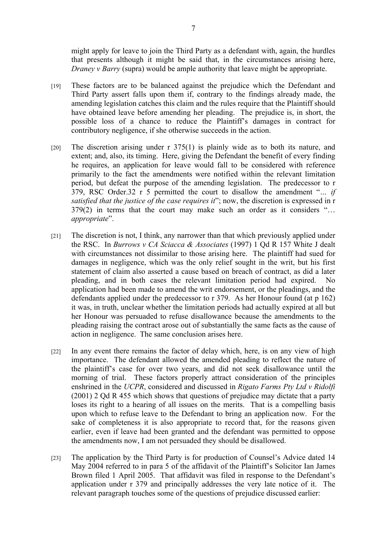might apply for leave to join the Third Party as a defendant with, again, the hurdles that presents although it might be said that, in the circumstances arising here, *Draney v Barry* (supra) would be ample authority that leave might be appropriate.

- [19] These factors are to be balanced against the prejudice which the Defendant and Third Party assert falls upon them if, contrary to the findings already made, the amending legislation catches this claim and the rules require that the Plaintiff should have obtained leave before amending her pleading. The prejudice is, in short, the possible loss of a chance to reduce the Plaintiff's damages in contract for contributory negligence, if she otherwise succeeds in the action.
- [20] The discretion arising under r 375(1) is plainly wide as to both its nature, and extent; and, also, its timing. Here, giving the Defendant the benefit of every finding he requires, an application for leave would fall to be considered with reference primarily to the fact the amendments were notified within the relevant limitation period, but defeat the purpose of the amending legislation. The predecessor to r 379, RSC Order.32 r 5 permitted the court to disallow the amendment "*… if satisfied that the justice of the case requires it*"; now, the discretion is expressed in r 379(2) in terms that the court may make such an order as it considers "… *appropriate*".
- [21] The discretion is not, I think, any narrower than that which previously applied under the RSC. In *Burrows v CA Sciacca & Associates* (1997) 1 Qd R 157 White J dealt with circumstances not dissimilar to those arising here. The plaintiff had sued for damages in negligence, which was the only relief sought in the writ, but his first statement of claim also asserted a cause based on breach of contract, as did a later pleading, and in both cases the relevant limitation period had expired. No application had been made to amend the writ endorsement, or the pleadings, and the defendants applied under the predecessor to r 379. As her Honour found (at p 162) it was, in truth, unclear whether the limitation periods had actually expired at all but her Honour was persuaded to refuse disallowance because the amendments to the pleading raising the contract arose out of substantially the same facts as the cause of action in negligence. The same conclusion arises here.
- [22] In any event there remains the factor of delay which, here, is on any view of high importance. The defendant allowed the amended pleading to reflect the nature of the plaintiff's case for over two years, and did not seek disallowance until the morning of trial. These factors properly attract consideration of the principles enshrined in the *UCPR*, considered and discussed in *Rigato Farms Pty Ltd v Ridolfi* (2001) 2 Qd R 455 which shows that questions of prejudice may dictate that a party loses its right to a hearing of all issues on the merits. That is a compelling basis upon which to refuse leave to the Defendant to bring an application now. For the sake of completeness it is also appropriate to record that, for the reasons given earlier, even if leave had been granted and the defendant was permitted to oppose the amendments now, I am not persuaded they should be disallowed.
- [23] The application by the Third Party is for production of Counsel's Advice dated 14 May 2004 referred to in para 5 of the affidavit of the Plaintiff's Solicitor Ian James Brown filed 1 April 2005. That affidavit was filed in response to the Defendant's application under r 379 and principally addresses the very late notice of it. The relevant paragraph touches some of the questions of prejudice discussed earlier: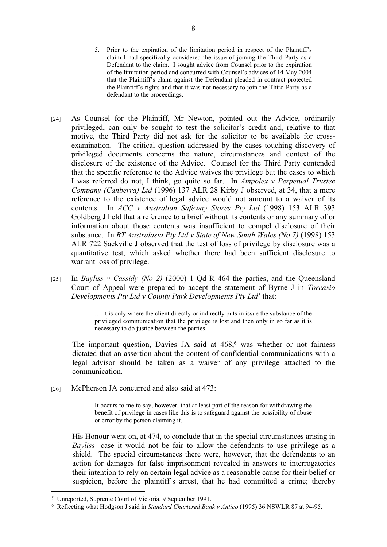- 5. Prior to the expiration of the limitation period in respect of the Plaintiff's claim I had specifically considered the issue of joining the Third Party as a Defendant to the claim. I sought advice from Counsel prior to the expiration of the limitation period and concurred with Counsel's advices of 14 May 2004 that the Plaintiff's claim against the Defendant pleaded in contract protected the Plaintiff's rights and that it was not necessary to join the Third Party as a defendant to the proceedings.
- [24] As Counsel for the Plaintiff, Mr Newton, pointed out the Advice, ordinarily privileged, can only be sought to test the solicitor's credit and, relative to that motive, the Third Party did not ask for the solicitor to be available for crossexamination. The critical question addressed by the cases touching discovery of privileged documents concerns the nature, circumstances and context of the disclosure of the existence of the Advice. Counsel for the Third Party contended that the specific reference to the Advice waives the privilege but the cases to which I was referred do not, I think, go quite so far. In *Ampolex v Perpetual Trustee Company (Canberra) Ltd* (1996) 137 ALR 28 Kirby J observed, at 34, that a mere reference to the existence of legal advice would not amount to a waiver of its contents. In *ACC v Australian Safeway Stores Pty Ltd* (1998) 153 ALR 393 Goldberg J held that a reference to a brief without its contents or any summary of or information about those contents was insufficient to compel disclosure of their substance. In *BT Australasia Pty Ltd v State of New South Wales (No 7)* (1998) 153 ALR 722 Sackville J observed that the test of loss of privilege by disclosure was a quantitative test, which asked whether there had been sufficient disclosure to warrant loss of privilege.
- [25] In *Bayliss v Cassidy (No 2)* (2000) 1 Qd R 464 the parties, and the Queensland Court of Appeal were prepared to accept the statement of Byrne J in *Torcasio Developments Pty Ltd v County Park Developments Pty Ltd<sup>5</sup>* that:

… It is only where the client directly or indirectly puts in issue the substance of the privileged communication that the privilege is lost and then only in so far as it is necessary to do justice between the parties.

The important question, Davies JA said at 468,<sup>6</sup> was whether or not fairness dictated that an assertion about the content of confidential communications with a legal advisor should be taken as a waiver of any privilege attached to the communication.

[26] McPherson JA concurred and also said at 473:

It occurs to me to say, however, that at least part of the reason for withdrawing the benefit of privilege in cases like this is to safeguard against the possibility of abuse or error by the person claiming it.

His Honour went on, at 474, to conclude that in the special circumstances arising in *Bayliss'* case it would not be fair to allow the defendants to use privilege as a shield. The special circumstances there were, however, that the defendants to an action for damages for false imprisonment revealed in answers to interrogatories their intention to rely on certain legal advice as a reasonable cause for their belief or suspicion, before the plaintiff's arrest, that he had committed a crime; thereby

<sup>5</sup> Unreported, Supreme Court of Victoria, 9 September 1991.

<sup>6</sup> Reflecting what Hodgson J said in *Standard Chartered Bank v Antico* (1995) 36 NSWLR 87 at 94-95.